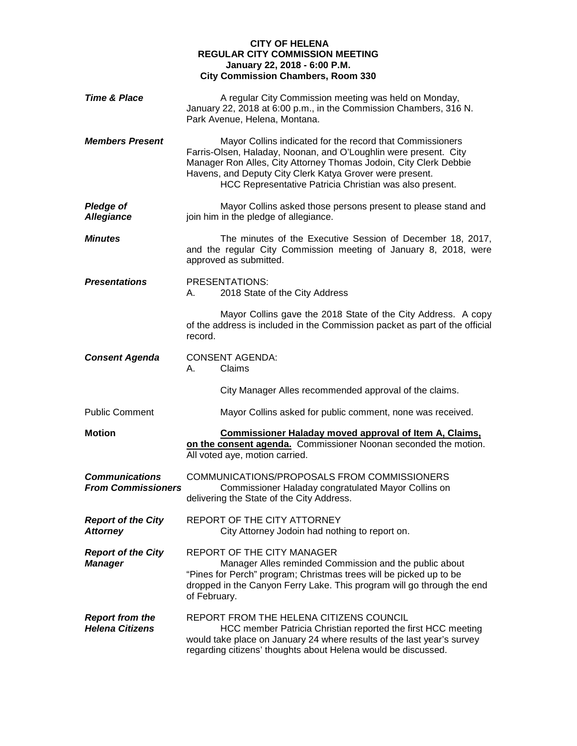## **CITY OF HELENA REGULAR CITY COMMISSION MEETING January 22, 2018 - 6:00 P.M. City Commission Chambers, Room 330**

| <b>Time &amp; Place</b>                            | A regular City Commission meeting was held on Monday,<br>January 22, 2018 at 6:00 p.m., in the Commission Chambers, 316 N.<br>Park Avenue, Helena, Montana.                                                                                                                                                               |
|----------------------------------------------------|---------------------------------------------------------------------------------------------------------------------------------------------------------------------------------------------------------------------------------------------------------------------------------------------------------------------------|
| <b>Members Present</b>                             | Mayor Collins indicated for the record that Commissioners<br>Farris-Olsen, Haladay, Noonan, and O'Loughlin were present. City<br>Manager Ron Alles, City Attorney Thomas Jodoin, City Clerk Debbie<br>Havens, and Deputy City Clerk Katya Grover were present.<br>HCC Representative Patricia Christian was also present. |
| <b>Pledge of</b><br><b>Allegiance</b>              | Mayor Collins asked those persons present to please stand and<br>join him in the pledge of allegiance.                                                                                                                                                                                                                    |
| <b>Minutes</b>                                     | The minutes of the Executive Session of December 18, 2017,<br>and the regular City Commission meeting of January 8, 2018, were<br>approved as submitted.                                                                                                                                                                  |
| <b>Presentations</b>                               | PRESENTATIONS:<br>2018 State of the City Address<br>A.                                                                                                                                                                                                                                                                    |
|                                                    | Mayor Collins gave the 2018 State of the City Address. A copy<br>of the address is included in the Commission packet as part of the official<br>record.                                                                                                                                                                   |
| <b>Consent Agenda</b>                              | <b>CONSENT AGENDA:</b><br>Claims<br>А.                                                                                                                                                                                                                                                                                    |
|                                                    | City Manager Alles recommended approval of the claims.                                                                                                                                                                                                                                                                    |
| <b>Public Comment</b>                              | Mayor Collins asked for public comment, none was received.                                                                                                                                                                                                                                                                |
| <b>Motion</b>                                      | <b>Commissioner Haladay moved approval of Item A, Claims,</b><br>on the consent agenda. Commissioner Noonan seconded the motion.<br>All voted aye, motion carried.                                                                                                                                                        |
| <b>Communications</b><br><b>From Commissioners</b> | COMMUNICATIONS/PROPOSALS FROM COMMISSIONERS<br>Commissioner Haladay congratulated Mayor Collins on<br>delivering the State of the City Address.                                                                                                                                                                           |
| <b>Report of the City</b><br><b>Attorney</b>       | REPORT OF THE CITY ATTORNEY<br>City Attorney Jodoin had nothing to report on.                                                                                                                                                                                                                                             |
| <b>Report of the City</b><br><b>Manager</b>        | REPORT OF THE CITY MANAGER<br>Manager Alles reminded Commission and the public about<br>"Pines for Perch" program; Christmas trees will be picked up to be<br>dropped in the Canyon Ferry Lake. This program will go through the end<br>of February.                                                                      |
| <b>Report from the</b><br><b>Helena Citizens</b>   | REPORT FROM THE HELENA CITIZENS COUNCIL<br>HCC member Patricia Christian reported the first HCC meeting<br>would take place on January 24 where results of the last year's survey<br>regarding citizens' thoughts about Helena would be discussed.                                                                        |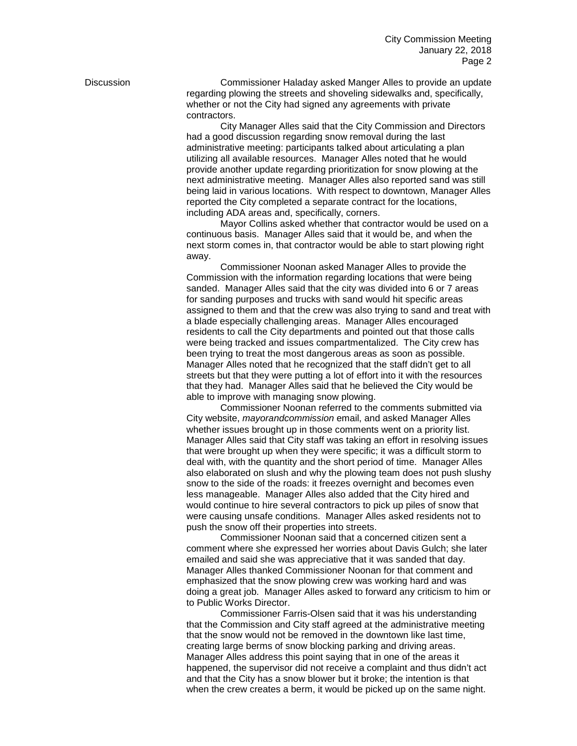Discussion Commissioner Haladay asked Manger Alles to provide an update regarding plowing the streets and shoveling sidewalks and, specifically, whether or not the City had signed any agreements with private contractors.

> City Manager Alles said that the City Commission and Directors had a good discussion regarding snow removal during the last administrative meeting: participants talked about articulating a plan utilizing all available resources. Manager Alles noted that he would provide another update regarding prioritization for snow plowing at the next administrative meeting. Manager Alles also reported sand was still being laid in various locations. With respect to downtown, Manager Alles reported the City completed a separate contract for the locations, including ADA areas and, specifically, corners.

> Mayor Collins asked whether that contractor would be used on a continuous basis. Manager Alles said that it would be, and when the next storm comes in, that contractor would be able to start plowing right away.

> Commissioner Noonan asked Manager Alles to provide the Commission with the information regarding locations that were being sanded. Manager Alles said that the city was divided into 6 or 7 areas for sanding purposes and trucks with sand would hit specific areas assigned to them and that the crew was also trying to sand and treat with a blade especially challenging areas. Manager Alles encouraged residents to call the City departments and pointed out that those calls were being tracked and issues compartmentalized. The City crew has been trying to treat the most dangerous areas as soon as possible. Manager Alles noted that he recognized that the staff didn't get to all streets but that they were putting a lot of effort into it with the resources that they had. Manager Alles said that he believed the City would be able to improve with managing snow plowing.

> Commissioner Noonan referred to the comments submitted via City website, *mayorandcommission* email, and asked Manager Alles whether issues brought up in those comments went on a priority list. Manager Alles said that City staff was taking an effort in resolving issues that were brought up when they were specific; it was a difficult storm to deal with, with the quantity and the short period of time. Manager Alles also elaborated on slush and why the plowing team does not push slushy snow to the side of the roads: it freezes overnight and becomes even less manageable. Manager Alles also added that the City hired and would continue to hire several contractors to pick up piles of snow that were causing unsafe conditions. Manager Alles asked residents not to push the snow off their properties into streets.

> Commissioner Noonan said that a concerned citizen sent a comment where she expressed her worries about Davis Gulch; she later emailed and said she was appreciative that it was sanded that day. Manager Alles thanked Commissioner Noonan for that comment and emphasized that the snow plowing crew was working hard and was doing a great job. Manager Alles asked to forward any criticism to him or to Public Works Director.

Commissioner Farris-Olsen said that it was his understanding that the Commission and City staff agreed at the administrative meeting that the snow would not be removed in the downtown like last time, creating large berms of snow blocking parking and driving areas. Manager Alles address this point saying that in one of the areas it happened, the supervisor did not receive a complaint and thus didn't act and that the City has a snow blower but it broke; the intention is that when the crew creates a berm, it would be picked up on the same night.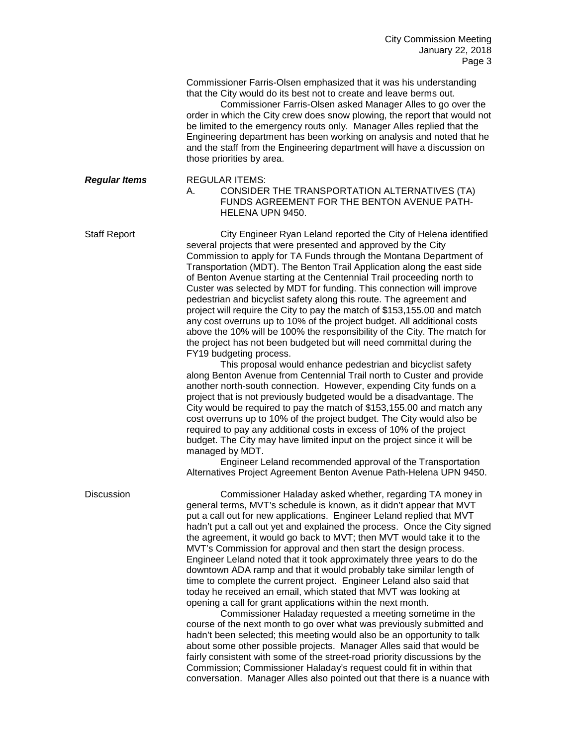Commissioner Farris-Olsen emphasized that it was his understanding that the City would do its best not to create and leave berms out.

Commissioner Farris-Olsen asked Manager Alles to go over the order in which the City crew does snow plowing, the report that would not be limited to the emergency routs only. Manager Alles replied that the Engineering department has been working on analysis and noted that he and the staff from the Engineering department will have a discussion on those priorities by area.

*Regular Items* REGULAR ITEMS: A. CONSIDER THE TRANSPORTATION ALTERNATIVES (TA) FUNDS AGREEMENT FOR THE BENTON AVENUE PATH-HELENA UPN 9450.

Staff Report City Engineer Ryan Leland reported the City of Helena identified several projects that were presented and approved by the City Commission to apply for TA Funds through the Montana Department of Transportation (MDT). The Benton Trail Application along the east side of Benton Avenue starting at the Centennial Trail proceeding north to Custer was selected by MDT for funding. This connection will improve pedestrian and bicyclist safety along this route. The agreement and project will require the City to pay the match of \$153,155.00 and match any cost overruns up to 10% of the project budget. All additional costs above the 10% will be 100% the responsibility of the City. The match for the project has not been budgeted but will need committal during the FY19 budgeting process.

> This proposal would enhance pedestrian and bicyclist safety along Benton Avenue from Centennial Trail north to Custer and provide another north-south connection. However, expending City funds on a project that is not previously budgeted would be a disadvantage. The City would be required to pay the match of \$153,155.00 and match any cost overruns up to 10% of the project budget. The City would also be required to pay any additional costs in excess of 10% of the project budget. The City may have limited input on the project since it will be managed by MDT.

Engineer Leland recommended approval of the Transportation Alternatives Project Agreement Benton Avenue Path-Helena UPN 9450.

Discussion Commissioner Haladay asked whether, regarding TA money in general terms, MVT's schedule is known, as it didn't appear that MVT put a call out for new applications. Engineer Leland replied that MVT hadn't put a call out yet and explained the process. Once the City signed the agreement, it would go back to MVT; then MVT would take it to the MVT's Commission for approval and then start the design process. Engineer Leland noted that it took approximately three years to do the downtown ADA ramp and that it would probably take similar length of time to complete the current project. Engineer Leland also said that today he received an email, which stated that MVT was looking at opening a call for grant applications within the next month.

> Commissioner Haladay requested a meeting sometime in the course of the next month to go over what was previously submitted and hadn't been selected; this meeting would also be an opportunity to talk about some other possible projects. Manager Alles said that would be fairly consistent with some of the street-road priority discussions by the Commission; Commissioner Haladay's request could fit in within that conversation. Manager Alles also pointed out that there is a nuance with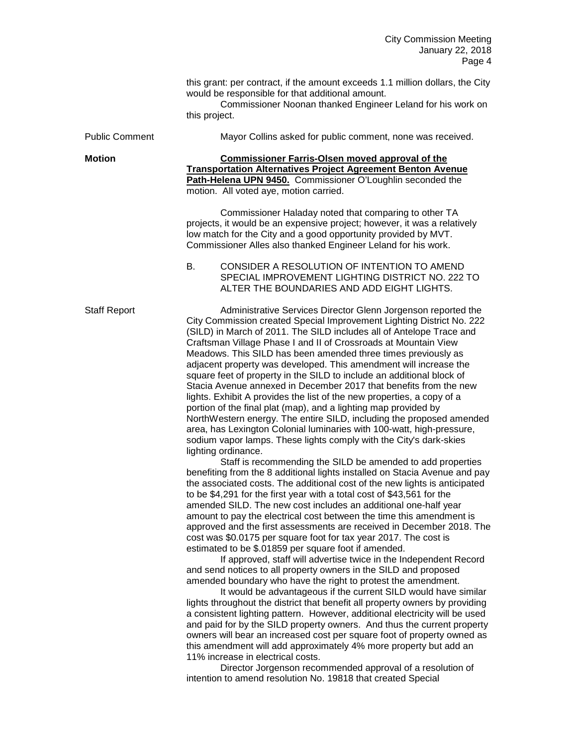| this grant: per contract, if the amount exceeds 1.1 million dollars, the City |  |
|-------------------------------------------------------------------------------|--|
| would be responsible for that additional amount.                              |  |

Commissioner Noonan thanked Engineer Leland for his work on this project.

| <b>Public Comment</b> | Mayor Collins asked for public comment, none was received.                                                                                                                                                                                                                                                                                                                                                                                                                                                                                                                                                                                                                                                                                                                                                                                                                                                                                                                                                                                                                                                                                                                                                                                                                                                                                                                                                                                                                                                                                                                                                                                                                                                                                                                                                                                                                                                                                                                                                                                                                                                                                                                                                                                                                                   |
|-----------------------|----------------------------------------------------------------------------------------------------------------------------------------------------------------------------------------------------------------------------------------------------------------------------------------------------------------------------------------------------------------------------------------------------------------------------------------------------------------------------------------------------------------------------------------------------------------------------------------------------------------------------------------------------------------------------------------------------------------------------------------------------------------------------------------------------------------------------------------------------------------------------------------------------------------------------------------------------------------------------------------------------------------------------------------------------------------------------------------------------------------------------------------------------------------------------------------------------------------------------------------------------------------------------------------------------------------------------------------------------------------------------------------------------------------------------------------------------------------------------------------------------------------------------------------------------------------------------------------------------------------------------------------------------------------------------------------------------------------------------------------------------------------------------------------------------------------------------------------------------------------------------------------------------------------------------------------------------------------------------------------------------------------------------------------------------------------------------------------------------------------------------------------------------------------------------------------------------------------------------------------------------------------------------------------------|
| <b>Motion</b>         | <b>Commissioner Farris-Olsen moved approval of the</b><br><b>Transportation Alternatives Project Agreement Benton Avenue</b><br>Path-Helena UPN 9450. Commissioner O'Loughlin seconded the<br>motion. All voted aye, motion carried.                                                                                                                                                                                                                                                                                                                                                                                                                                                                                                                                                                                                                                                                                                                                                                                                                                                                                                                                                                                                                                                                                                                                                                                                                                                                                                                                                                                                                                                                                                                                                                                                                                                                                                                                                                                                                                                                                                                                                                                                                                                         |
|                       | Commissioner Haladay noted that comparing to other TA<br>projects, it would be an expensive project; however, it was a relatively<br>low match for the City and a good opportunity provided by MVT.<br>Commissioner Alles also thanked Engineer Leland for his work.                                                                                                                                                                                                                                                                                                                                                                                                                                                                                                                                                                                                                                                                                                                                                                                                                                                                                                                                                                                                                                                                                                                                                                                                                                                                                                                                                                                                                                                                                                                                                                                                                                                                                                                                                                                                                                                                                                                                                                                                                         |
|                       | CONSIDER A RESOLUTION OF INTENTION TO AMEND<br>В.<br>SPECIAL IMPROVEMENT LIGHTING DISTRICT NO. 222 TO<br>ALTER THE BOUNDARIES AND ADD EIGHT LIGHTS.                                                                                                                                                                                                                                                                                                                                                                                                                                                                                                                                                                                                                                                                                                                                                                                                                                                                                                                                                                                                                                                                                                                                                                                                                                                                                                                                                                                                                                                                                                                                                                                                                                                                                                                                                                                                                                                                                                                                                                                                                                                                                                                                          |
| <b>Staff Report</b>   | Administrative Services Director Glenn Jorgenson reported the<br>City Commission created Special Improvement Lighting District No. 222<br>(SILD) in March of 2011. The SILD includes all of Antelope Trace and<br>Craftsman Village Phase I and II of Crossroads at Mountain View<br>Meadows. This SILD has been amended three times previously as<br>adjacent property was developed. This amendment will increase the<br>square feet of property in the SILD to include an additional block of<br>Stacia Avenue annexed in December 2017 that benefits from the new<br>lights. Exhibit A provides the list of the new properties, a copy of a<br>portion of the final plat (map), and a lighting map provided by<br>NorthWestern energy. The entire SILD, including the proposed amended<br>area, has Lexington Colonial luminaries with 100-watt, high-pressure,<br>sodium vapor lamps. These lights comply with the City's dark-skies<br>lighting ordinance.<br>Staff is recommending the SILD be amended to add properties<br>benefiting from the 8 additional lights installed on Stacia Avenue and pay<br>the associated costs. The additional cost of the new lights is anticipated<br>to be \$4,291 for the first year with a total cost of \$43,561 for the<br>amended SILD. The new cost includes an additional one-half year<br>amount to pay the electrical cost between the time this amendment is<br>approved and the first assessments are received in December 2018. The<br>cost was \$0.0175 per square foot for tax year 2017. The cost is<br>estimated to be \$.01859 per square foot if amended.<br>If approved, staff will advertise twice in the Independent Record<br>and send notices to all property owners in the SILD and proposed<br>amended boundary who have the right to protest the amendment.<br>It would be advantageous if the current SILD would have similar<br>lights throughout the district that benefit all property owners by providing<br>a consistent lighting pattern. However, additional electricity will be used<br>and paid for by the SILD property owners. And thus the current property<br>owners will bear an increased cost per square foot of property owned as<br>this amendment will add approximately 4% more property but add an |
|                       | 11% increase in electrical costs.<br>Director Jorgenson recommended approval of a resolution of                                                                                                                                                                                                                                                                                                                                                                                                                                                                                                                                                                                                                                                                                                                                                                                                                                                                                                                                                                                                                                                                                                                                                                                                                                                                                                                                                                                                                                                                                                                                                                                                                                                                                                                                                                                                                                                                                                                                                                                                                                                                                                                                                                                              |

intention to amend resolution No. 19818 that created Special